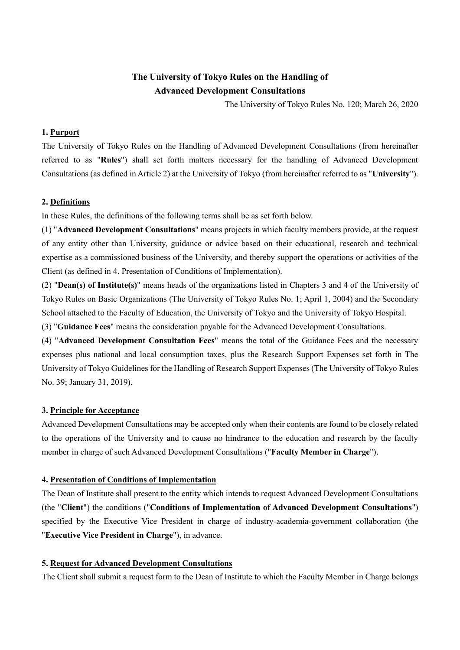# **The University of Tokyo Rules on the Handling of Advanced Development Consultations**

The University of Tokyo Rules No. 120; March 26, 2020

## **1. Purport**

The University of Tokyo Rules on the Handling of Advanced Development Consultations (from hereinafter referred to as "**Rules**") shall set forth matters necessary for the handling of Advanced Development Consultations (as defined in Article 2) at the University of Tokyo (from hereinafter referred to as "**University**").

## **2. Definitions**

In these Rules, the definitions of the following terms shall be as set forth below.

(1) "**Advanced Development Consultations**" means projects in which faculty members provide, at the request of any entity other than University, guidance or advice based on their educational, research and technical expertise as a commissioned business of the University, and thereby support the operations or activities of the Client (as defined in 4. Presentation of Conditions of Implementation).

(2) "**Dean(s) of Institute(s)**" means heads of the organizations listed in Chapters 3 and 4 of the University of Tokyo Rules on Basic Organizations (The University of Tokyo Rules No. 1; April 1, 2004) and the Secondary School attached to the Faculty of Education, the University of Tokyo and the University of Tokyo Hospital.

(3) "**Guidance Fees**" means the consideration payable for the Advanced Development Consultations.

(4) "**Advanced Development Consultation Fees**" means the total of the Guidance Fees and the necessary expenses plus national and local consumption taxes, plus the Research Support Expenses set forth in The University of Tokyo Guidelines for the Handling of Research Support Expenses (The University of Tokyo Rules No. 39; January 31, 2019).

## **3. Principle for Acceptance**

Advanced Development Consultations may be accepted only when their contents are found to be closely related to the operations of the University and to cause no hindrance to the education and research by the faculty member in charge of such Advanced Development Consultations ("**Faculty Member in Charge**").

## **4. Presentation of Conditions of Implementation**

The Dean of Institute shall present to the entity which intends to request Advanced Development Consultations (the "**Client**") the conditions ("**Conditions of Implementation of Advanced Development Consultations**") specified by the Executive Vice President in charge of industry-academia-government collaboration (the "**Executive Vice President in Charge**"), in advance.

## **5. Request for Advanced Development Consultations**

The Client shall submit a request form to the Dean of Institute to which the Faculty Member in Charge belongs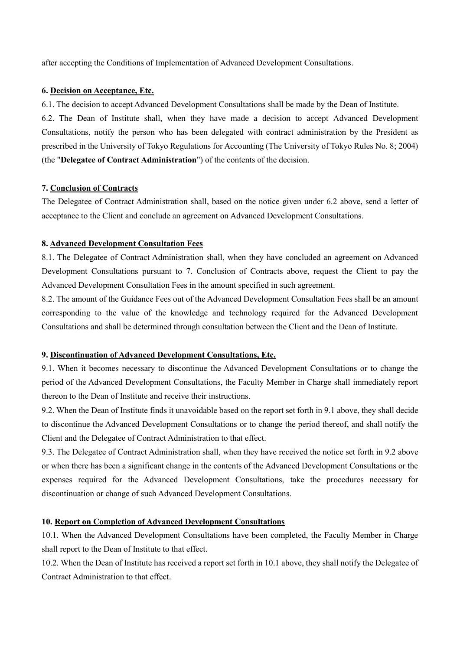after accepting the Conditions of Implementation of Advanced Development Consultations.

#### **6. Decision on Acceptance, Etc.**

6.1. The decision to accept Advanced Development Consultations shall be made by the Dean of Institute.

6.2. The Dean of Institute shall, when they have made a decision to accept Advanced Development Consultations, notify the person who has been delegated with contract administration by the President as prescribed in the University of Tokyo Regulations for Accounting (The University of Tokyo Rules No. 8; 2004) (the "**Delegatee of Contract Administration**") of the contents of the decision.

#### **7. Conclusion of Contracts**

The Delegatee of Contract Administration shall, based on the notice given under 6.2 above, send a letter of acceptance to the Client and conclude an agreement on Advanced Development Consultations.

#### **8. Advanced Development Consultation Fees**

8.1. The Delegatee of Contract Administration shall, when they have concluded an agreement on Advanced Development Consultations pursuant to 7. Conclusion of Contracts above, request the Client to pay the Advanced Development Consultation Fees in the amount specified in such agreement.

8.2. The amount of the Guidance Fees out of the Advanced Development Consultation Fees shall be an amount corresponding to the value of the knowledge and technology required for the Advanced Development Consultations and shall be determined through consultation between the Client and the Dean of Institute.

## **9. Discontinuation of Advanced Development Consultations, Etc.**

9.1. When it becomes necessary to discontinue the Advanced Development Consultations or to change the period of the Advanced Development Consultations, the Faculty Member in Charge shall immediately report thereon to the Dean of Institute and receive their instructions.

9.2. When the Dean of Institute finds it unavoidable based on the report set forth in 9.1 above, they shall decide to discontinue the Advanced Development Consultations or to change the period thereof, and shall notify the Client and the Delegatee of Contract Administration to that effect.

9.3. The Delegatee of Contract Administration shall, when they have received the notice set forth in 9.2 above or when there has been a significant change in the contents of the Advanced Development Consultations or the expenses required for the Advanced Development Consultations, take the procedures necessary for discontinuation or change of such Advanced Development Consultations.

## **10. Report on Completion of Advanced Development Consultations**

10.1. When the Advanced Development Consultations have been completed, the Faculty Member in Charge shall report to the Dean of Institute to that effect.

10.2. When the Dean of Institute has received a report set forth in 10.1 above, they shall notify the Delegatee of Contract Administration to that effect.